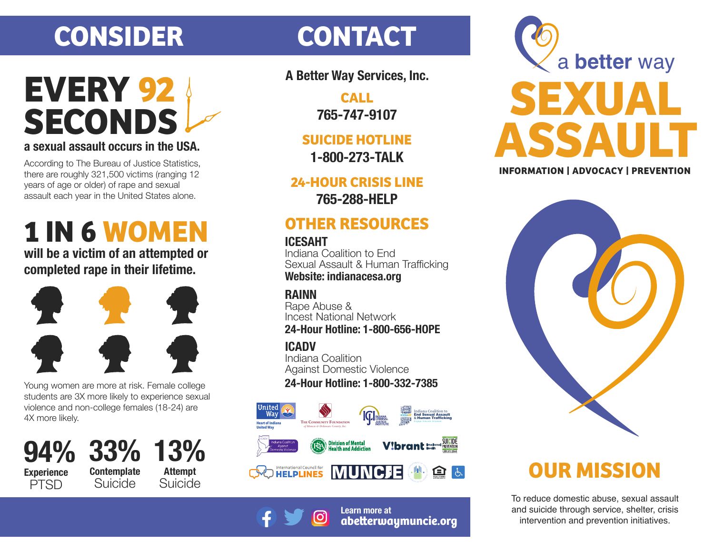# **CONSIDER CONTACT**

## **a sexual assault occurs in the USA. SECONDS EVERY 92**

According to The Bureau of Justice Statistics, there are roughly 321,500 victims (ranging 12 years of age or older) of rape and sexual assault each year in the United States alone.

# **1 IN 6 WOMEN**

**will be a victim of an attempted or completed rape in their lifetime.**



Young women are more at risk. Female college students are 3X more likely to experience sexual violence and non-college females (18-24) are 4X more likely.

**Contemplate** Suicide **94% Experience PTSD** 

**33% 13% Attempt** Suicide

**A Better Way Services, Inc.**

**CALL 765-747-9107**

**SUICIDE HOTLINE 1-800-273-TALK**

**24-HOUR CRISIS LINE**

**765-288-HELP**

### **OTHER RESOURCES**

#### **ICESAHT**

Indiana Coalition to End Sexual Assault & Human Trafficking **Website: indianacesa.org**

#### **RAINN**

Rape Abuse & Incest National Network **24-Hour Hotline: 1-800-656-HOPE**

**ICADV**

Indiana Coalition Against Domestic Violence **24-Hour Hotline: 1-800-332-7385**







## **OUR MISSION**

To reduce domestic abuse, sexual assault and suicide through service, shelter, crisis intervention and prevention initiatives.



**Learn more at abeerwaymuncie.org**